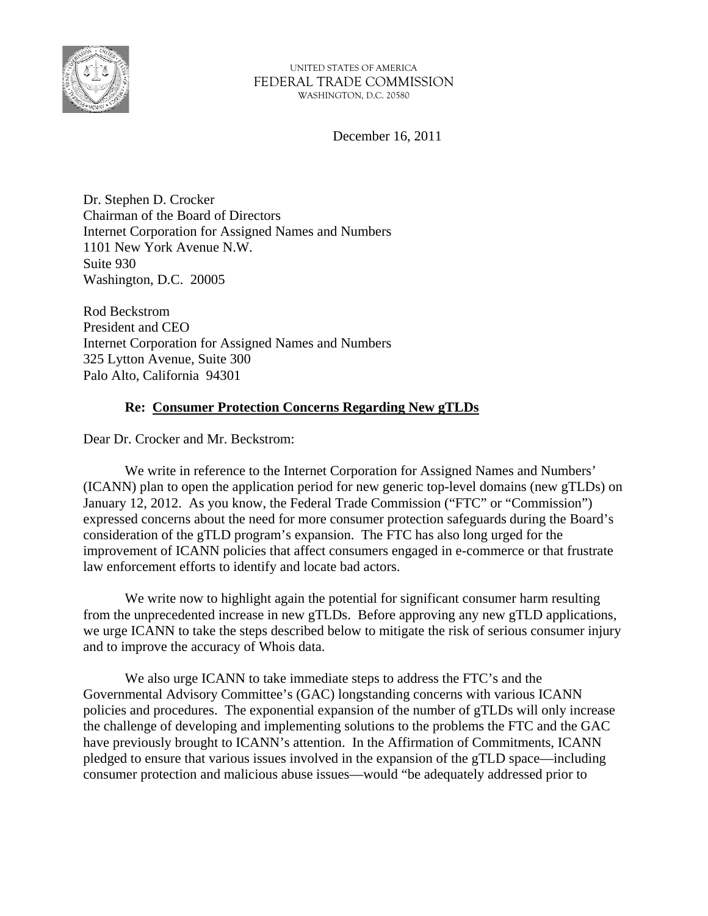

December 16, 2011

Dr. Stephen D. Crocker Chairman of the Board of Directors Internet Corporation for Assigned Names and Numbers 1101 New York Avenue N.W. Suite 930 Washington, D.C. 20005

Rod Beckstrom President and CEO Internet Corporation for Assigned Names and Numbers 325 Lytton Avenue, Suite 300 Palo Alto, California 94301

# **Re: Consumer Protection Concerns Regarding New gTLDs**

Dear Dr. Crocker and Mr. Beckstrom:

 We write in reference to the Internet Corporation for Assigned Names and Numbers' (ICANN) plan to open the application period for new generic top-level domains (new gTLDs) on January 12, 2012. As you know, the Federal Trade Commission ("FTC" or "Commission") expressed concerns about the need for more consumer protection safeguards during the Board's consideration of the gTLD program's expansion. The FTC has also long urged for the improvement of ICANN policies that affect consumers engaged in e-commerce or that frustrate law enforcement efforts to identify and locate bad actors.

We write now to highlight again the potential for significant consumer harm resulting from the unprecedented increase in new gTLDs. Before approving any new gTLD applications, we urge ICANN to take the steps described below to mitigate the risk of serious consumer injury and to improve the accuracy of Whois data.

 We also urge ICANN to take immediate steps to address the FTC's and the Governmental Advisory Committee's (GAC) longstanding concerns with various ICANN policies and procedures. The exponential expansion of the number of gTLDs will only increase the challenge of developing and implementing solutions to the problems the FTC and the GAC have previously brought to ICANN's attention. In the Affirmation of Commitments, ICANN pledged to ensure that various issues involved in the expansion of the gTLD space—including consumer protection and malicious abuse issues—would "be adequately addressed prior to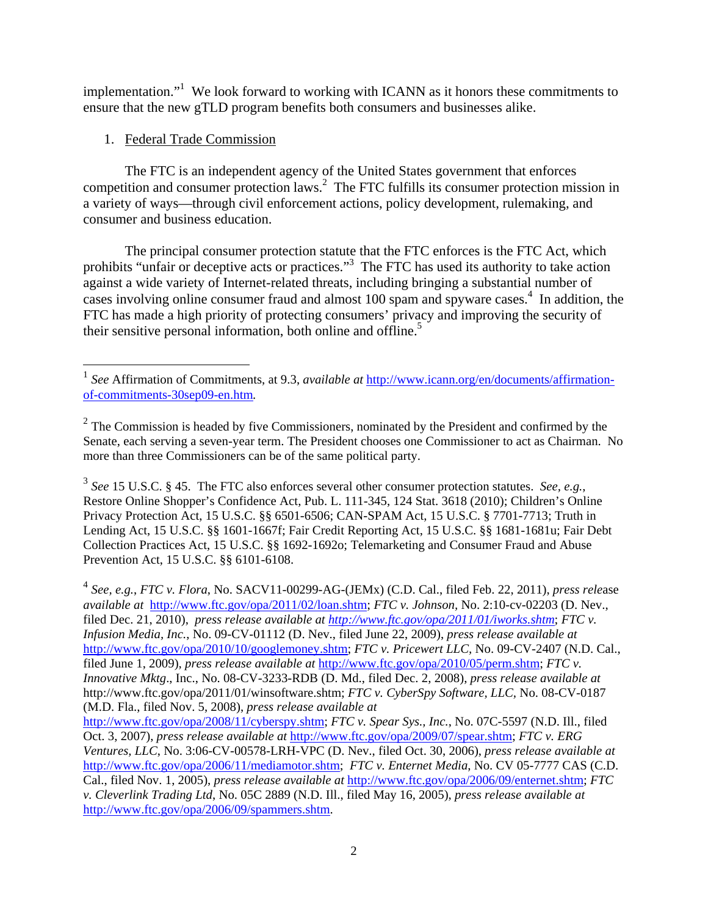implementation."<sup>1</sup> We look forward to working with ICANN as it honors these commitments to ensure that the new gTLD program benefits both consumers and businesses alike.

# 1. Federal Trade Commission

 

 The FTC is an independent agency of the United States government that enforces competition and consumer protection laws.<sup>2</sup> The FTC fulfills its consumer protection mission in a variety of ways—through civil enforcement actions, policy development, rulemaking, and consumer and business education.

 The principal consumer protection statute that the FTC enforces is the FTC Act, which prohibits "unfair or deceptive acts or practices."<sup>3</sup> The FTC has used its authority to take action against a wide variety of Internet-related threats, including bringing a substantial number of cases involving online consumer fraud and almost 100 spam and spyware cases.<sup>4</sup> In addition, the FTC has made a high priority of protecting consumers' privacy and improving the security of their sensitive personal information, both online and offline.<sup>5</sup>

<sup>3</sup> *See* 15 U.S.C. § 45. The FTC also enforces several other consumer protection statutes. *See, e.g.*, Restore Online Shopper's Confidence Act, Pub. L. 111-345, 124 Stat. 3618 (2010); Children's Online Privacy Protection Act, 15 U.S.C. §§ 6501-6506; CAN-SPAM Act, 15 U.S.C. § 7701-7713; Truth in Lending Act, 15 U.S.C. §§ 1601-1667f; Fair Credit Reporting Act, 15 U.S.C. §§ 1681-1681u; Fair Debt Collection Practices Act, 15 U.S.C. §§ 1692-1692o; Telemarketing and Consumer Fraud and Abuse Prevention Act, 15 U.S.C. §§ 6101-6108.

<sup>4</sup> *See, e.g.*, *FTC v. Flora*, No. SACV11-00299-AG-(JEMx) (C.D. Cal., filed Feb. 22, 2011), *press rele*ase *available at* http://www.ftc.gov/opa/2011/02/loan.shtm; *FTC v. Johnson,* No. 2:10-cv-02203 (D. Nev., filed Dec. 21, 2010), *press release available at http://www.ftc.gov/opa/2011/01/iworks.shtm*; *FTC v. Infusion Media, Inc.*, No. 09-CV-01112 (D. Nev., filed June 22, 2009), *press release available at*  http://www.ftc.gov/opa/2010/10/googlemoney.shtm; *FTC v. Pricewert LLC,* No. 09-CV-2407 (N.D. Cal., filed June 1, 2009)*, press release available at* http://www.ftc.gov/opa/2010/05/perm.shtm; *FTC v. Innovative Mktg*., Inc., No. 08-CV-3233-RDB (D. Md., filed Dec. 2, 2008), *press release available at*  http://www.ftc.gov/opa/2011/01/winsoftware.shtm; *FTC v. CyberSpy Software, LLC,* No. 08-CV-0187 (M.D. Fla., filed Nov. 5, 2008), *press release available at*  http://www.ftc.gov/opa/2008/11/cyberspy.shtm; *FTC v. Spear Sys., Inc.*, No. 07C-5597 (N.D. Ill., filed

<sup>&</sup>lt;sup>1</sup> See Affirmation of Commitments, at 9.3, *available at* http://www.icann.org/en/documents/affirmationof-commitments-30sep09-en.htm*.* 

 $2^2$  The Commission is headed by five Commissioners, nominated by the President and confirmed by the Senate, each serving a seven-year term. The President chooses one Commissioner to act as Chairman. No more than three Commissioners can be of the same political party.

Oct. 3, 2007), *press release available at* http://www.ftc.gov/opa/2009/07/spear.shtm; *FTC v. ERG Ventures, LLC*, No. 3:06-CV-00578-LRH-VPC (D. Nev., filed Oct. 30, 2006), *press release available at* http://www.ftc.gov/opa/2006/11/mediamotor.shtm; *FTC v. Enternet Media*, No. CV 05-7777 CAS (C.D. Cal., filed Nov. 1, 2005), *press release available at* http://www.ftc.gov/opa/2006/09/enternet.shtm; *FTC v. Cleverlink Trading Ltd*, No. 05C 2889 (N.D. Ill., filed May 16, 2005), *press release available at* http://www.ftc.gov/opa/2006/09/spammers.shtm.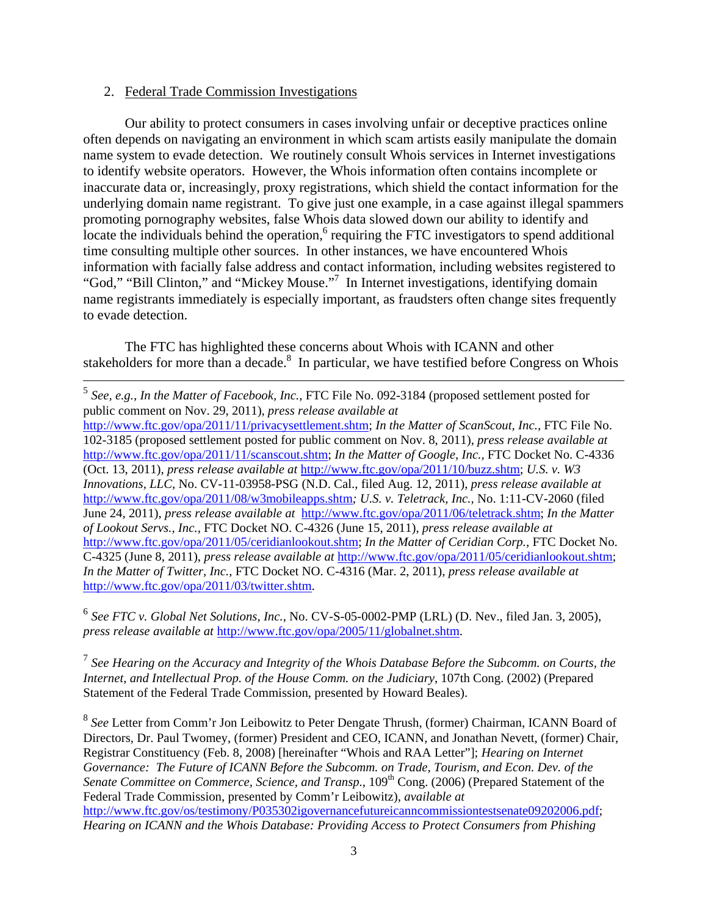#### 2. Federal Trade Commission Investigations

 Our ability to protect consumers in cases involving unfair or deceptive practices online often depends on navigating an environment in which scam artists easily manipulate the domain name system to evade detection. We routinely consult Whois services in Internet investigations to identify website operators. However, the Whois information often contains incomplete or inaccurate data or, increasingly, proxy registrations, which shield the contact information for the underlying domain name registrant. To give just one example, in a case against illegal spammers promoting pornography websites, false Whois data slowed down our ability to identify and locate the individuals behind the operation,  $6$  requiring the FTC investigators to spend additional time consulting multiple other sources. In other instances, we have encountered Whois information with facially false address and contact information, including websites registered to "God," "Bill Clinton," and "Mickey Mouse."<sup>7</sup> In Internet investigations, identifying domain name registrants immediately is especially important, as fraudsters often change sites frequently to evade detection.

 The FTC has highlighted these concerns about Whois with ICANN and other stakeholders for more than a decade.<sup>8</sup> In particular, we have testified before Congress on Whois

<sup>6</sup> *See FTC v. Global Net Solutions, Inc.*, No. CV-S-05-0002-PMP (LRL) (D. Nev., filed Jan. 3, 2005), *press release available at* http://www.ftc.gov/opa/2005/11/globalnet.shtm.

<sup>7</sup> *See Hearing on the Accuracy and Integrity of the Whois Database Before the Subcomm. on Courts, the Internet, and Intellectual Prop. of the House Comm. on the Judiciary*, 107th Cong. (2002) (Prepared Statement of the Federal Trade Commission, presented by Howard Beales).

<sup>8</sup> *See* Letter from Comm'r Jon Leibowitz to Peter Dengate Thrush, (former) Chairman, ICANN Board of Directors, Dr. Paul Twomey, (former) President and CEO, ICANN, and Jonathan Nevett, (former) Chair, Registrar Constituency (Feb. 8, 2008) [hereinafter "Whois and RAA Letter"]; *Hearing on Internet Governance: The Future of ICANN Before the Subcomm. on Trade, Tourism, and Econ. Dev. of the*  Senate Committee on Commerce, Science, and Transp., 109<sup>th</sup> Cong. (2006) (Prepared Statement of the Federal Trade Commission, presented by Comm'r Leibowitz), *available at*  http://www.ftc.gov/os/testimony/P035302igovernancefutureicanncommissiontestsenate09202006.pdf; *Hearing on ICANN and the Whois Database: Providing Access to Protect Consumers from Phishing* 

 <sup>5</sup> *See, e.g., In the Matter of Facebook, Inc.*, FTC File No. 092-3184 (proposed settlement posted for public comment on Nov. 29, 2011), *press release available at* http://www.ftc.gov/opa/2011/11/privacysettlement.shtm; *In the Matter of ScanScout, Inc.,* FTC File No. 102-3185 (proposed settlement posted for public comment on Nov. 8, 2011), *press release available at*  http://www.ftc.gov/opa/2011/11/scanscout.shtm; *In the Matter of Google, Inc.,* FTC Docket No. C-4336 (Oct. 13, 2011), *press release available at* http://www.ftc.gov/opa/2011/10/buzz.shtm; *U.S. v. W3 Innovations, LLC,* No. CV-11-03958-PSG (N.D. Cal., filed Aug. 12, 2011), *press release available at*  http://www.ftc.gov/opa/2011/08/w3mobileapps.shtm*; U.S. v. Teletrack, Inc.,* No. 1:11-CV-2060 (filed June 24, 2011), *press release available at* http://www.ftc.gov/opa/2011/06/teletrack.shtm; *In the Matter of Lookout Servs., Inc.,* FTC Docket NO. C-4326 (June 15, 2011), *press release available at* http://www.ftc.gov/opa/2011/05/ceridianlookout.shtm; *In the Matter of Ceridian Corp.,* FTC Docket No. C-4325 (June 8, 2011), *press release available at* http://www.ftc.gov/opa/2011/05/ceridianlookout.shtm; *In the Matter of Twitter, Inc.*, FTC Docket NO. C-4316 (Mar. 2, 2011), *press release available at* http://www.ftc.gov/opa/2011/03/twitter.shtm.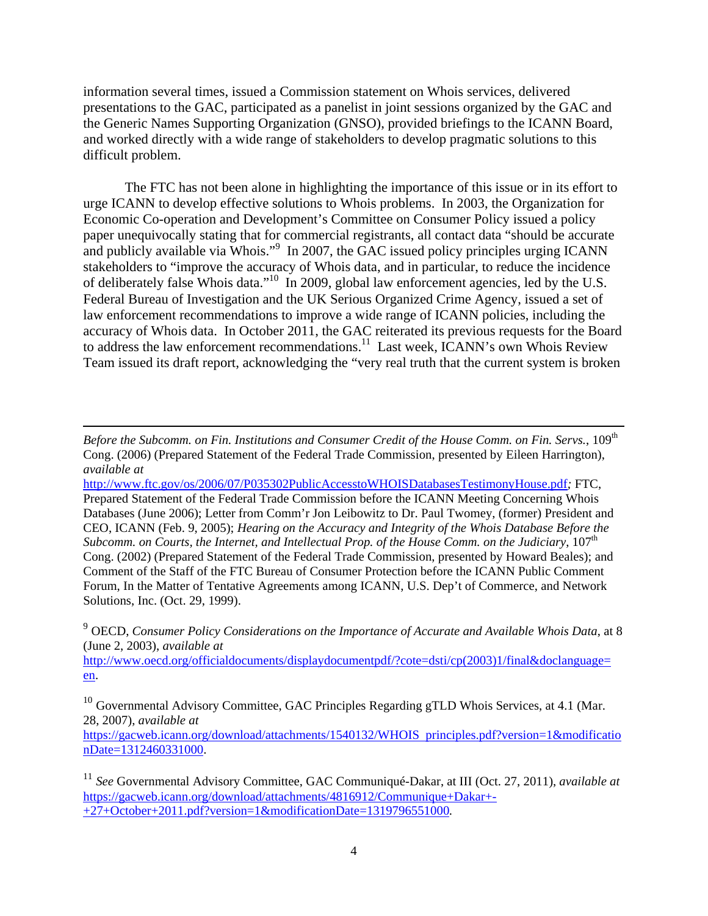information several times, issued a Commission statement on Whois services, delivered presentations to the GAC, participated as a panelist in joint sessions organized by the GAC and the Generic Names Supporting Organization (GNSO), provided briefings to the ICANN Board, and worked directly with a wide range of stakeholders to develop pragmatic solutions to this difficult problem.

 The FTC has not been alone in highlighting the importance of this issue or in its effort to urge ICANN to develop effective solutions to Whois problems. In 2003, the Organization for Economic Co-operation and Development's Committee on Consumer Policy issued a policy paper unequivocally stating that for commercial registrants, all contact data "should be accurate and publicly available via Whois."<sup>9</sup> In 2007, the GAC issued policy principles urging ICANN stakeholders to "improve the accuracy of Whois data, and in particular, to reduce the incidence of deliberately false Whois data."10 In 2009, global law enforcement agencies, led by the U.S. Federal Bureau of Investigation and the UK Serious Organized Crime Agency, issued a set of law enforcement recommendations to improve a wide range of ICANN policies, including the accuracy of Whois data. In October 2011, the GAC reiterated its previous requests for the Board to address the law enforcement recommendations.<sup>11</sup> Last week, ICANN's own Whois Review Team issued its draft report, acknowledging the "very real truth that the current system is broken

<u> 1989 - Andrea Santa Andrea Andrea Andrea Andrea Andrea Andrea Andrea Andrea Andrea Andrea Andrea Andrea Andr</u>

<sup>9</sup> OECD, *Consumer Policy Considerations on the Importance of Accurate and Available Whois Data*, at 8 (June 2, 2003), *available at* 

http://www.oecd.org/officialdocuments/displaydocumentpdf/?cote=dsti/cp(2003)1/final&doclanguage= en.

https://gacweb.icann.org/download/attachments/1540132/WHOIS principles.pdf?version=1&modificatio nDate=1312460331000.

*Before the Subcomm. on Fin. Institutions and Consumer Credit of the House Comm. on Fin. Servs., 109*<sup>th</sup> Cong. (2006) (Prepared Statement of the Federal Trade Commission, presented by Eileen Harrington), *available at* 

http://www.ftc.gov/os/2006/07/P035302PublicAccesstoWHOISDatabasesTestimonyHouse.pdf*;* FTC, Prepared Statement of the Federal Trade Commission before the ICANN Meeting Concerning Whois Databases (June 2006); Letter from Comm'r Jon Leibowitz to Dr. Paul Twomey, (former) President and CEO, ICANN (Feb. 9, 2005); *Hearing on the Accuracy and Integrity of the Whois Database Before the Subcomm. on Courts, the Internet, and Intellectual Prop. of the House Comm. on the Judiciary,*  $107<sup>th</sup>$ Cong. (2002) (Prepared Statement of the Federal Trade Commission, presented by Howard Beales); and Comment of the Staff of the FTC Bureau of Consumer Protection before the ICANN Public Comment Forum, In the Matter of Tentative Agreements among ICANN, U.S. Dep't of Commerce, and Network Solutions, Inc. (Oct. 29, 1999).

 $10$  Governmental Advisory Committee, GAC Principles Regarding gTLD Whois Services, at 4.1 (Mar. 28, 2007), *available at*

<sup>11</sup> *See* Governmental Advisory Committee, GAC Communiqué-Dakar, at III (Oct. 27, 2011), *available at* https://gacweb.icann.org/download/attachments/4816912/Communique+Dakar+- +27+October+2011.pdf?version=1&modificationDate=1319796551000*.*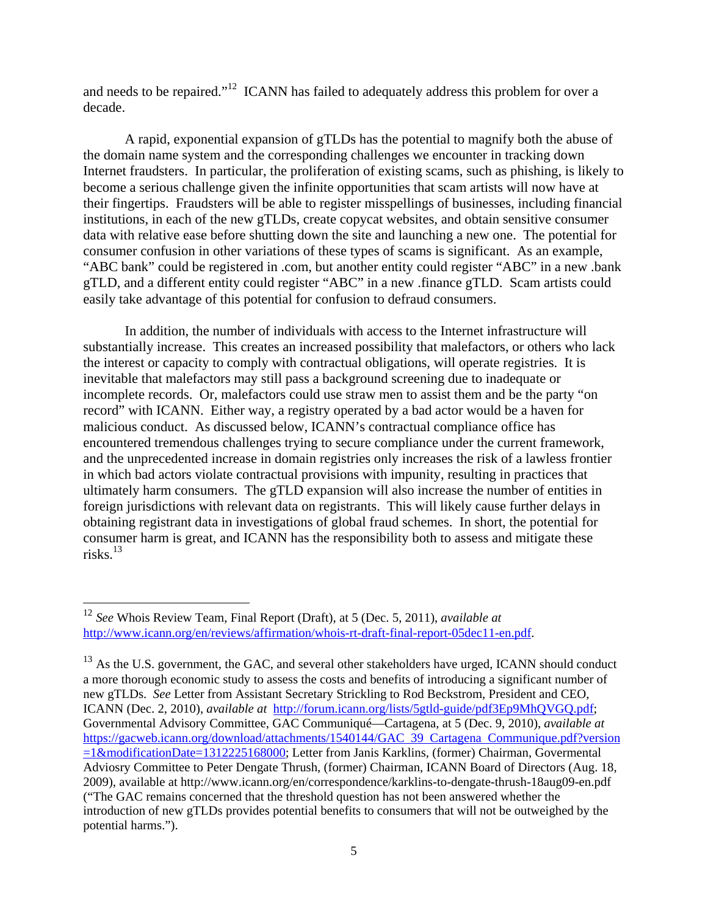and needs to be repaired."<sup>12</sup> ICANN has failed to adequately address this problem for over a decade.

 A rapid, exponential expansion of gTLDs has the potential to magnify both the abuse of the domain name system and the corresponding challenges we encounter in tracking down Internet fraudsters. In particular, the proliferation of existing scams, such as phishing, is likely to become a serious challenge given the infinite opportunities that scam artists will now have at their fingertips. Fraudsters will be able to register misspellings of businesses, including financial institutions, in each of the new gTLDs, create copycat websites, and obtain sensitive consumer data with relative ease before shutting down the site and launching a new one. The potential for consumer confusion in other variations of these types of scams is significant. As an example, "ABC bank" could be registered in .com, but another entity could register "ABC" in a new .bank gTLD, and a different entity could register "ABC" in a new .finance gTLD. Scam artists could easily take advantage of this potential for confusion to defraud consumers.

In addition, the number of individuals with access to the Internet infrastructure will substantially increase. This creates an increased possibility that malefactors, or others who lack the interest or capacity to comply with contractual obligations, will operate registries. It is inevitable that malefactors may still pass a background screening due to inadequate or incomplete records. Or, malefactors could use straw men to assist them and be the party "on record" with ICANN. Either way, a registry operated by a bad actor would be a haven for malicious conduct. As discussed below, ICANN's contractual compliance office has encountered tremendous challenges trying to secure compliance under the current framework, and the unprecedented increase in domain registries only increases the risk of a lawless frontier in which bad actors violate contractual provisions with impunity, resulting in practices that ultimately harm consumers. The gTLD expansion will also increase the number of entities in foreign jurisdictions with relevant data on registrants. This will likely cause further delays in obtaining registrant data in investigations of global fraud schemes. In short, the potential for consumer harm is great, and ICANN has the responsibility both to assess and mitigate these risks.13

<sup>12</sup> *See* Whois Review Team, Final Report (Draft), at 5 (Dec. 5, 2011), *available at* http://www.icann.org/en/reviews/affirmation/whois-rt-draft-final-report-05dec11-en.pdf.

<sup>&</sup>lt;sup>13</sup> As the U.S. government, the GAC, and several other stakeholders have urged, ICANN should conduct a more thorough economic study to assess the costs and benefits of introducing a significant number of new gTLDs. *See* Letter from Assistant Secretary Strickling to Rod Beckstrom, President and CEO, ICANN (Dec. 2, 2010), *available at* http://forum.icann.org/lists/5gtld-guide/pdf3Ep9MhQVGQ.pdf; Governmental Advisory Committee, GAC Communiqué—Cartagena, at 5 (Dec. 9, 2010), *available at* https://gacweb.icann.org/download/attachments/1540144/GAC 39 Cartagena Communique.pdf?version =1&modificationDate=1312225168000; Letter from Janis Karklins, (former) Chairman, Govermental Adviosry Committee to Peter Dengate Thrush, (former) Chairman, ICANN Board of Directors (Aug. 18, 2009), available at http://www.icann.org/en/correspondence/karklins-to-dengate-thrush-18aug09-en.pdf ("The GAC remains concerned that the threshold question has not been answered whether the introduction of new gTLDs provides potential benefits to consumers that will not be outweighed by the potential harms.").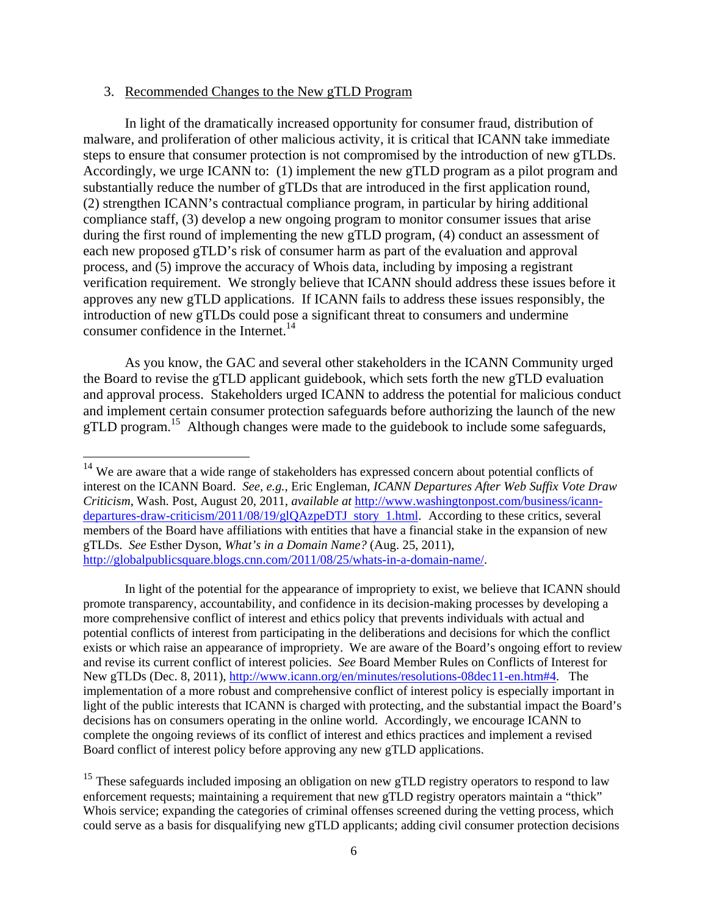#### 3. Recommended Changes to the New gTLD Program

 

 In light of the dramatically increased opportunity for consumer fraud, distribution of malware, and proliferation of other malicious activity, it is critical that ICANN take immediate steps to ensure that consumer protection is not compromised by the introduction of new gTLDs. Accordingly, we urge ICANN to: (1) implement the new gTLD program as a pilot program and substantially reduce the number of gTLDs that are introduced in the first application round, (2) strengthen ICANN's contractual compliance program, in particular by hiring additional compliance staff, (3) develop a new ongoing program to monitor consumer issues that arise during the first round of implementing the new gTLD program, (4) conduct an assessment of each new proposed gTLD's risk of consumer harm as part of the evaluation and approval process, and (5) improve the accuracy of Whois data, including by imposing a registrant verification requirement. We strongly believe that ICANN should address these issues before it approves any new gTLD applications. If ICANN fails to address these issues responsibly, the introduction of new gTLDs could pose a significant threat to consumers and undermine consumer confidence in the Internet.<sup>14</sup>

 As you know, the GAC and several other stakeholders in the ICANN Community urged the Board to revise the gTLD applicant guidebook, which sets forth the new gTLD evaluation and approval process. Stakeholders urged ICANN to address the potential for malicious conduct and implement certain consumer protection safeguards before authorizing the launch of the new gTLD program.<sup>15</sup> Although changes were made to the guidebook to include some safeguards,

In light of the potential for the appearance of impropriety to exist, we believe that ICANN should promote transparency, accountability, and confidence in its decision-making processes by developing a more comprehensive conflict of interest and ethics policy that prevents individuals with actual and potential conflicts of interest from participating in the deliberations and decisions for which the conflict exists or which raise an appearance of impropriety. We are aware of the Board's ongoing effort to review and revise its current conflict of interest policies. *See* Board Member Rules on Conflicts of Interest for New gTLDs (Dec. 8, 2011), http://www.icann.org/en/minutes/resolutions-08dec11-en.htm#4. The implementation of a more robust and comprehensive conflict of interest policy is especially important in light of the public interests that ICANN is charged with protecting, and the substantial impact the Board's decisions has on consumers operating in the online world. Accordingly, we encourage ICANN to complete the ongoing reviews of its conflict of interest and ethics practices and implement a revised Board conflict of interest policy before approving any new gTLD applications.

<sup>&</sup>lt;sup>14</sup> We are aware that a wide range of stakeholders has expressed concern about potential conflicts of interest on the ICANN Board. *See, e.g.,* Eric Engleman, *ICANN Departures After Web Suffix Vote Draw Criticism*, Wash. Post, August 20, 2011, *available at* http://www.washingtonpost.com/business/icanndepartures-draw-criticism/2011/08/19/glQAzpeDTJ story 1.html. According to these critics, several members of the Board have affiliations with entities that have a financial stake in the expansion of new gTLDs. *See* Esther Dyson, *What's in a Domain Name?* (Aug. 25, 2011), http://globalpublicsquare.blogs.cnn.com/2011/08/25/whats-in-a-domain-name/.

<sup>&</sup>lt;sup>15</sup> These safeguards included imposing an obligation on new gTLD registry operators to respond to law enforcement requests; maintaining a requirement that new gTLD registry operators maintain a "thick" Whois service; expanding the categories of criminal offenses screened during the vetting process, which could serve as a basis for disqualifying new gTLD applicants; adding civil consumer protection decisions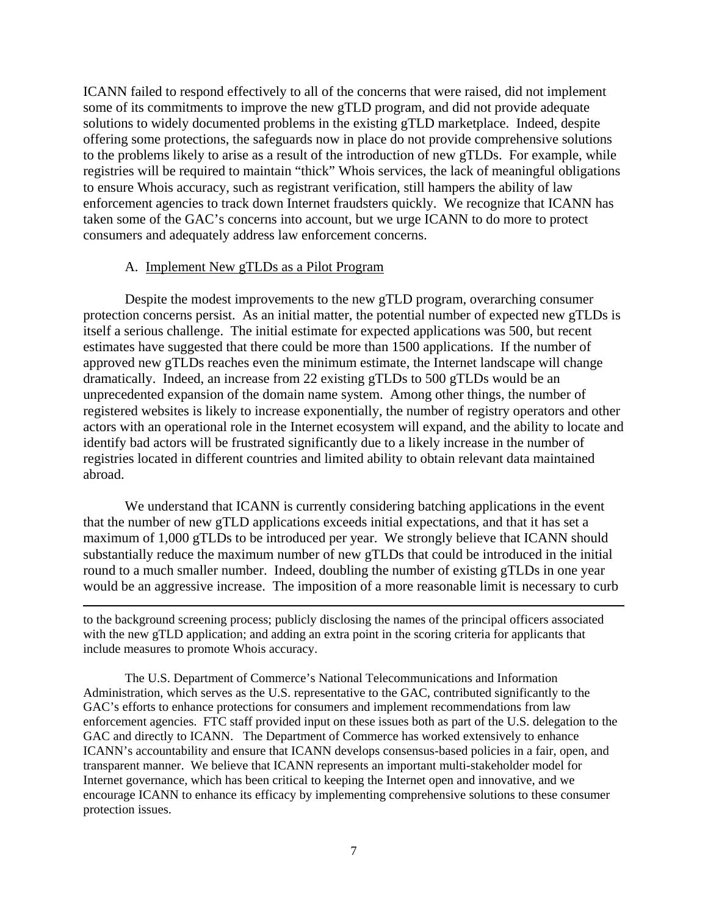ICANN failed to respond effectively to all of the concerns that were raised, did not implement some of its commitments to improve the new gTLD program, and did not provide adequate solutions to widely documented problems in the existing gTLD marketplace. Indeed, despite offering some protections, the safeguards now in place do not provide comprehensive solutions to the problems likely to arise as a result of the introduction of new gTLDs. For example, while registries will be required to maintain "thick" Whois services, the lack of meaningful obligations to ensure Whois accuracy, such as registrant verification, still hampers the ability of law enforcement agencies to track down Internet fraudsters quickly. We recognize that ICANN has taken some of the GAC's concerns into account, but we urge ICANN to do more to protect consumers and adequately address law enforcement concerns.

### A. Implement New gTLDs as a Pilot Program

 Despite the modest improvements to the new gTLD program, overarching consumer protection concerns persist. As an initial matter, the potential number of expected new gTLDs is itself a serious challenge. The initial estimate for expected applications was 500, but recent estimates have suggested that there could be more than 1500 applications. If the number of approved new gTLDs reaches even the minimum estimate, the Internet landscape will change dramatically. Indeed, an increase from 22 existing gTLDs to 500 gTLDs would be an unprecedented expansion of the domain name system. Among other things, the number of registered websites is likely to increase exponentially, the number of registry operators and other actors with an operational role in the Internet ecosystem will expand, and the ability to locate and identify bad actors will be frustrated significantly due to a likely increase in the number of registries located in different countries and limited ability to obtain relevant data maintained abroad.

We understand that ICANN is currently considering batching applications in the event that the number of new gTLD applications exceeds initial expectations, and that it has set a maximum of 1,000 gTLDs to be introduced per year. We strongly believe that ICANN should substantially reduce the maximum number of new gTLDs that could be introduced in the initial round to a much smaller number. Indeed, doubling the number of existing gTLDs in one year would be an aggressive increase. The imposition of a more reasonable limit is necessary to curb

<u> 1989 - Andrea Santa Andrea Andrea Andrea Andrea Andrea Andrea Andrea Andrea Andrea Andrea Andrea Andrea Andr</u>

to the background screening process; publicly disclosing the names of the principal officers associated with the new gTLD application; and adding an extra point in the scoring criteria for applicants that include measures to promote Whois accuracy.

The U.S. Department of Commerce's National Telecommunications and Information Administration, which serves as the U.S. representative to the GAC, contributed significantly to the GAC's efforts to enhance protections for consumers and implement recommendations from law enforcement agencies. FTC staff provided input on these issues both as part of the U.S. delegation to the GAC and directly to ICANN. The Department of Commerce has worked extensively to enhance ICANN's accountability and ensure that ICANN develops consensus-based policies in a fair, open, and transparent manner. We believe that ICANN represents an important multi-stakeholder model for Internet governance, which has been critical to keeping the Internet open and innovative, and we encourage ICANN to enhance its efficacy by implementing comprehensive solutions to these consumer protection issues.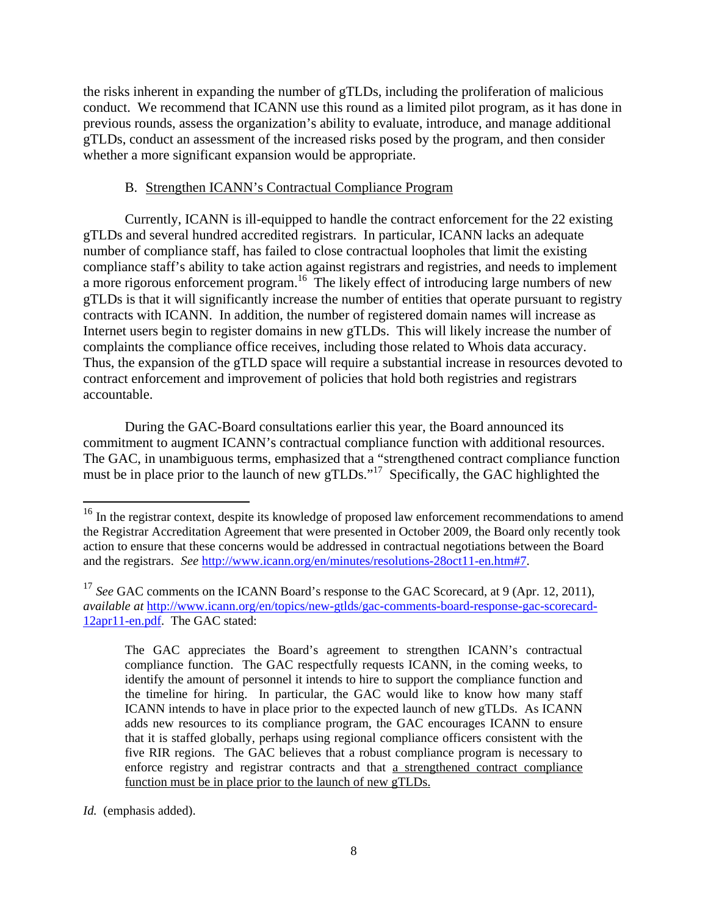the risks inherent in expanding the number of gTLDs, including the proliferation of malicious conduct. We recommend that ICANN use this round as a limited pilot program, as it has done in previous rounds, assess the organization's ability to evaluate, introduce, and manage additional gTLDs, conduct an assessment of the increased risks posed by the program, and then consider whether a more significant expansion would be appropriate.

### B. Strengthen ICANN's Contractual Compliance Program

 Currently, ICANN is ill-equipped to handle the contract enforcement for the 22 existing gTLDs and several hundred accredited registrars. In particular, ICANN lacks an adequate number of compliance staff, has failed to close contractual loopholes that limit the existing compliance staff's ability to take action against registrars and registries, and needs to implement a more rigorous enforcement program.<sup>16</sup> The likely effect of introducing large numbers of new gTLDs is that it will significantly increase the number of entities that operate pursuant to registry contracts with ICANN. In addition, the number of registered domain names will increase as Internet users begin to register domains in new gTLDs. This will likely increase the number of complaints the compliance office receives, including those related to Whois data accuracy. Thus, the expansion of the gTLD space will require a substantial increase in resources devoted to contract enforcement and improvement of policies that hold both registries and registrars accountable.

 During the GAC-Board consultations earlier this year, the Board announced its commitment to augment ICANN's contractual compliance function with additional resources. The GAC, in unambiguous terms, emphasized that a "strengthened contract compliance function must be in place prior to the launch of new gTLDs."<sup>17</sup> Specifically, the GAC highlighted the

<sup>&</sup>lt;sup>16</sup> In the registrar context, despite its knowledge of proposed law enforcement recommendations to amend the Registrar Accreditation Agreement that were presented in October 2009, the Board only recently took action to ensure that these concerns would be addressed in contractual negotiations between the Board and the registrars. *See* http://www.icann.org/en/minutes/resolutions-28oct11-en.htm#7.

<sup>&</sup>lt;sup>17</sup> See GAC comments on the ICANN Board's response to the GAC Scorecard, at 9 (Apr. 12, 2011), *available at* http://www.icann.org/en/topics/new-gtlds/gac-comments-board-response-gac-scorecard-12apr11-en.pdf. The GAC stated:

The GAC appreciates the Board's agreement to strengthen ICANN's contractual compliance function. The GAC respectfully requests ICANN, in the coming weeks, to identify the amount of personnel it intends to hire to support the compliance function and the timeline for hiring. In particular, the GAC would like to know how many staff ICANN intends to have in place prior to the expected launch of new gTLDs. As ICANN adds new resources to its compliance program, the GAC encourages ICANN to ensure that it is staffed globally, perhaps using regional compliance officers consistent with the five RIR regions. The GAC believes that a robust compliance program is necessary to enforce registry and registrar contracts and that a strengthened contract compliance function must be in place prior to the launch of new gTLDs.

*Id.* (emphasis added).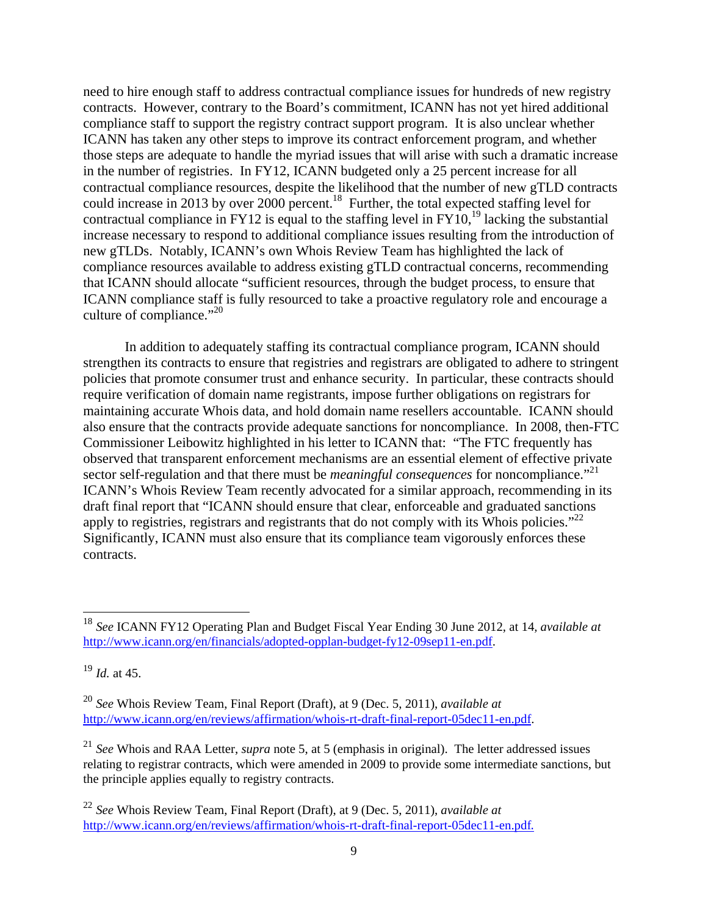need to hire enough staff to address contractual compliance issues for hundreds of new registry contracts. However, contrary to the Board's commitment, ICANN has not yet hired additional compliance staff to support the registry contract support program. It is also unclear whether ICANN has taken any other steps to improve its contract enforcement program, and whether those steps are adequate to handle the myriad issues that will arise with such a dramatic increase in the number of registries. In FY12, ICANN budgeted only a 25 percent increase for all contractual compliance resources, despite the likelihood that the number of new gTLD contracts could increase in 2013 by over 2000 percent.<sup>18</sup> Further, the total expected staffing level for contractual compliance in FY12 is equal to the staffing level in FY10,<sup>19</sup> lacking the substantial increase necessary to respond to additional compliance issues resulting from the introduction of new gTLDs. Notably, ICANN's own Whois Review Team has highlighted the lack of compliance resources available to address existing gTLD contractual concerns, recommending that ICANN should allocate "sufficient resources, through the budget process, to ensure that ICANN compliance staff is fully resourced to take a proactive regulatory role and encourage a culture of compliance."<sup>20</sup>

 In addition to adequately staffing its contractual compliance program, ICANN should strengthen its contracts to ensure that registries and registrars are obligated to adhere to stringent policies that promote consumer trust and enhance security. In particular, these contracts should require verification of domain name registrants, impose further obligations on registrars for maintaining accurate Whois data, and hold domain name resellers accountable. ICANN should also ensure that the contracts provide adequate sanctions for noncompliance. In 2008, then-FTC Commissioner Leibowitz highlighted in his letter to ICANN that: "The FTC frequently has observed that transparent enforcement mechanisms are an essential element of effective private sector self-regulation and that there must be *meaningful consequences* for noncompliance."<sup>21</sup> ICANN's Whois Review Team recently advocated for a similar approach, recommending in its draft final report that "ICANN should ensure that clear, enforceable and graduated sanctions apply to registries, registrars and registrants that do not comply with its Whois policies."<sup>22</sup> Significantly, ICANN must also ensure that its compliance team vigorously enforces these contracts.

<sup>18</sup> *See* ICANN FY12 Operating Plan and Budget Fiscal Year Ending 30 June 2012, at 14*, available at*  http://www.icann.org/en/financials/adopted-opplan-budget-fy12-09sep11-en.pdf.

<sup>19</sup> *Id.* at 45.

<sup>20</sup> *See* Whois Review Team, Final Report (Draft), at 9 (Dec. 5, 2011), *available at* http://www.icann.org/en/reviews/affirmation/whois-rt-draft-final-report-05dec11-en.pdf.

<sup>21</sup> *See* Whois and RAA Letter, *supra* note 5, at 5 (emphasis in original). The letter addressed issues relating to registrar contracts, which were amended in 2009 to provide some intermediate sanctions, but the principle applies equally to registry contracts.

<sup>22</sup> *See* Whois Review Team, Final Report (Draft), at 9 (Dec. 5, 2011), *available at*  http://www.icann.org/en/reviews/affirmation/whois-rt-draft-final-report-05dec11-en.pdf.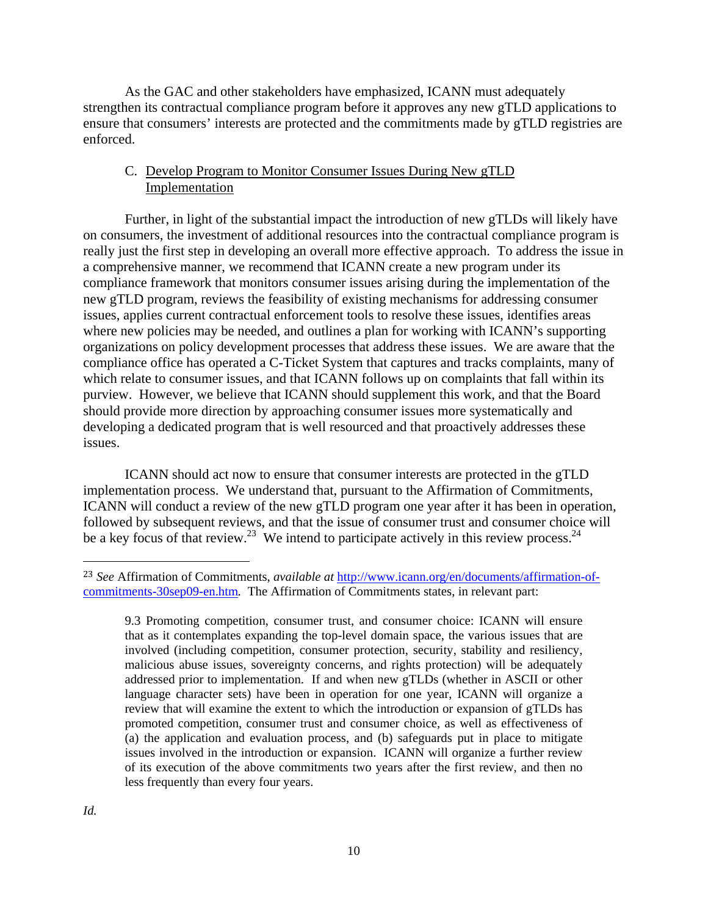As the GAC and other stakeholders have emphasized, ICANN must adequately strengthen its contractual compliance program before it approves any new gTLD applications to ensure that consumers' interests are protected and the commitments made by gTLD registries are enforced.

## C. Develop Program to Monitor Consumer Issues During New gTLD Implementation

 Further, in light of the substantial impact the introduction of new gTLDs will likely have on consumers, the investment of additional resources into the contractual compliance program is really just the first step in developing an overall more effective approach. To address the issue in a comprehensive manner, we recommend that ICANN create a new program under its compliance framework that monitors consumer issues arising during the implementation of the new gTLD program, reviews the feasibility of existing mechanisms for addressing consumer issues, applies current contractual enforcement tools to resolve these issues, identifies areas where new policies may be needed, and outlines a plan for working with ICANN's supporting organizations on policy development processes that address these issues. We are aware that the compliance office has operated a C-Ticket System that captures and tracks complaints, many of which relate to consumer issues, and that ICANN follows up on complaints that fall within its purview. However, we believe that ICANN should supplement this work, and that the Board should provide more direction by approaching consumer issues more systematically and developing a dedicated program that is well resourced and that proactively addresses these issues.

 ICANN should act now to ensure that consumer interests are protected in the gTLD implementation process. We understand that, pursuant to the Affirmation of Commitments, ICANN will conduct a review of the new gTLD program one year after it has been in operation, followed by subsequent reviews, and that the issue of consumer trust and consumer choice will be a key focus of that review.<sup>23</sup> We intend to participate actively in this review process.<sup>24</sup>

<sup>23</sup> *See* Affirmation of Commitments, *available at* http://www.icann.org/en/documents/affirmation-ofcommitments-30sep09-en.htm*.* The Affirmation of Commitments states, in relevant part:

<sup>9.3</sup> Promoting competition, consumer trust, and consumer choice: ICANN will ensure that as it contemplates expanding the top-level domain space, the various issues that are involved (including competition, consumer protection, security, stability and resiliency, malicious abuse issues, sovereignty concerns, and rights protection) will be adequately addressed prior to implementation. If and when new gTLDs (whether in ASCII or other language character sets) have been in operation for one year, ICANN will organize a review that will examine the extent to which the introduction or expansion of gTLDs has promoted competition, consumer trust and consumer choice, as well as effectiveness of (a) the application and evaluation process, and (b) safeguards put in place to mitigate issues involved in the introduction or expansion. ICANN will organize a further review of its execution of the above commitments two years after the first review, and then no less frequently than every four years.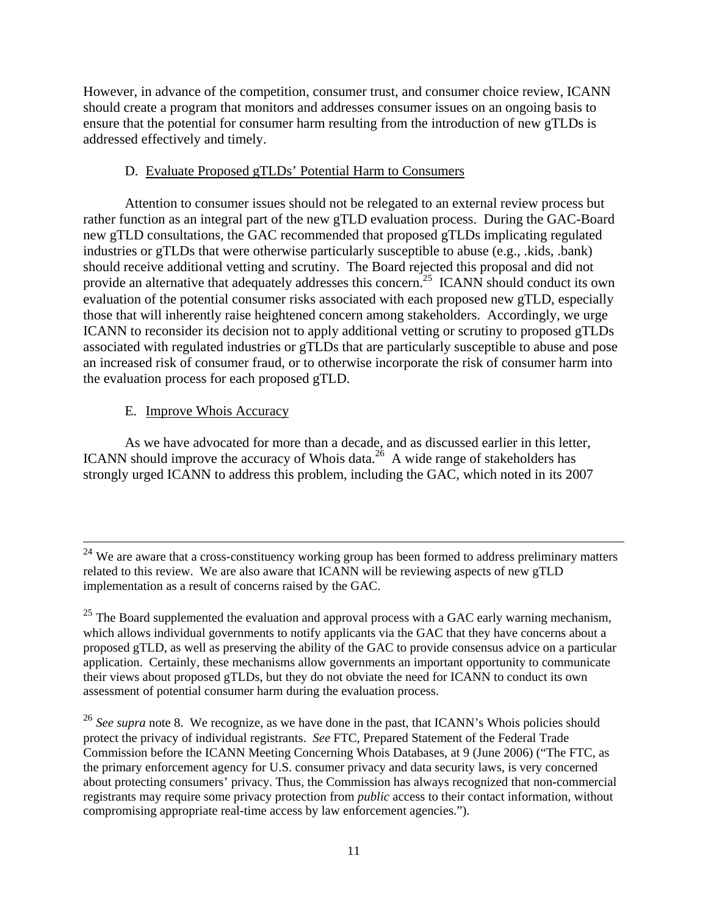However, in advance of the competition, consumer trust, and consumer choice review, ICANN should create a program that monitors and addresses consumer issues on an ongoing basis to ensure that the potential for consumer harm resulting from the introduction of new gTLDs is addressed effectively and timely.

## D. Evaluate Proposed gTLDs' Potential Harm to Consumers

 Attention to consumer issues should not be relegated to an external review process but rather function as an integral part of the new gTLD evaluation process. During the GAC-Board new gTLD consultations, the GAC recommended that proposed gTLDs implicating regulated industries or gTLDs that were otherwise particularly susceptible to abuse (e.g., .kids, .bank) should receive additional vetting and scrutiny. The Board rejected this proposal and did not provide an alternative that adequately addresses this concern.<sup>25</sup> ICANN should conduct its own evaluation of the potential consumer risks associated with each proposed new gTLD, especially those that will inherently raise heightened concern among stakeholders. Accordingly, we urge ICANN to reconsider its decision not to apply additional vetting or scrutiny to proposed gTLDs associated with regulated industries or gTLDs that are particularly susceptible to abuse and pose an increased risk of consumer fraud, or to otherwise incorporate the risk of consumer harm into the evaluation process for each proposed gTLD.

## E. Improve Whois Accuracy

 As we have advocated for more than a decade, and as discussed earlier in this letter, ICANN should improve the accuracy of Whois data.<sup>26</sup> A wide range of stakeholders has strongly urged ICANN to address this problem, including the GAC, which noted in its 2007

<sup>&</sup>lt;sup>24</sup> We are aware that a cross-constituency working group has been formed to address preliminary matters related to this review. We are also aware that ICANN will be reviewing aspects of new gTLD implementation as a result of concerns raised by the GAC.

 $25$  The Board supplemented the evaluation and approval process with a GAC early warning mechanism, which allows individual governments to notify applicants via the GAC that they have concerns about a proposed gTLD, as well as preserving the ability of the GAC to provide consensus advice on a particular application. Certainly, these mechanisms allow governments an important opportunity to communicate their views about proposed gTLDs, but they do not obviate the need for ICANN to conduct its own assessment of potential consumer harm during the evaluation process.

<sup>&</sup>lt;sup>26</sup> See supra note 8. We recognize, as we have done in the past, that ICANN's Whois policies should protect the privacy of individual registrants. *See* FTC, Prepared Statement of the Federal Trade Commission before the ICANN Meeting Concerning Whois Databases, at 9 (June 2006) ("The FTC, as the primary enforcement agency for U.S. consumer privacy and data security laws, is very concerned about protecting consumers' privacy. Thus, the Commission has always recognized that non-commercial registrants may require some privacy protection from *public* access to their contact information, without compromising appropriate real-time access by law enforcement agencies.").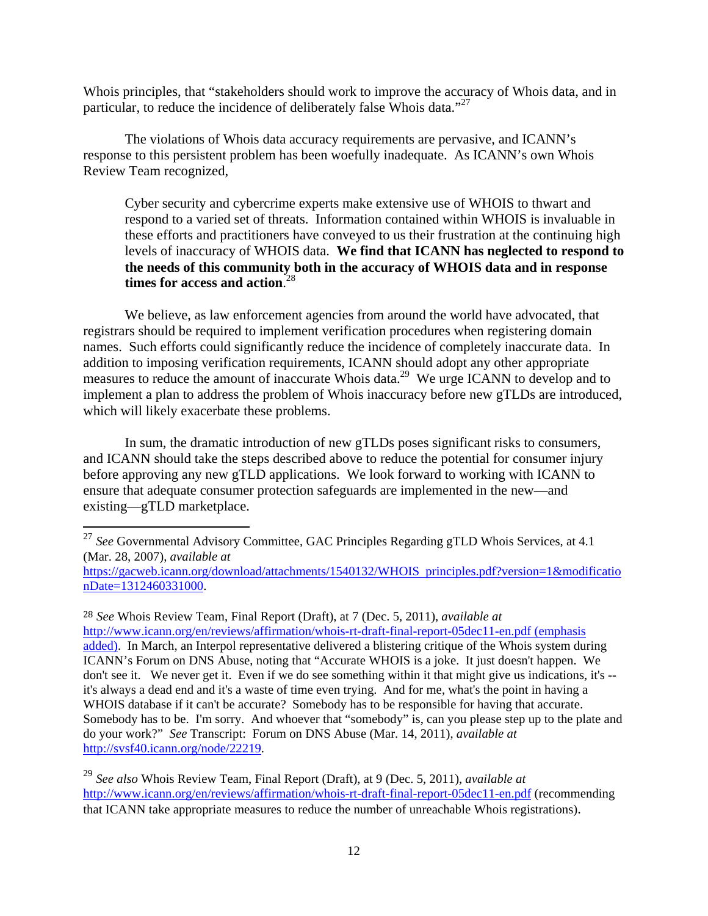Whois principles, that "stakeholders should work to improve the accuracy of Whois data, and in particular, to reduce the incidence of deliberately false Whois data."<sup>27</sup>

 The violations of Whois data accuracy requirements are pervasive, and ICANN's response to this persistent problem has been woefully inadequate. As ICANN's own Whois Review Team recognized,

Cyber security and cybercrime experts make extensive use of WHOIS to thwart and respond to a varied set of threats. Information contained within WHOIS is invaluable in these efforts and practitioners have conveyed to us their frustration at the continuing high levels of inaccuracy of WHOIS data. **We find that ICANN has neglected to respond to the needs of this community both in the accuracy of WHOIS data and in response times for access and action**. 28

 We believe, as law enforcement agencies from around the world have advocated, that registrars should be required to implement verification procedures when registering domain names. Such efforts could significantly reduce the incidence of completely inaccurate data. In addition to imposing verification requirements, ICANN should adopt any other appropriate measures to reduce the amount of inaccurate Whois data.<sup>29</sup> We urge ICANN to develop and to implement a plan to address the problem of Whois inaccuracy before new gTLDs are introduced, which will likely exacerbate these problems.

 In sum, the dramatic introduction of new gTLDs poses significant risks to consumers, and ICANN should take the steps described above to reduce the potential for consumer injury before approving any new gTLD applications. We look forward to working with ICANN to ensure that adequate consumer protection safeguards are implemented in the new—and existing—gTLD marketplace.

 

<sup>28</sup> *See* Whois Review Team, Final Report (Draft), at 7 (Dec. 5, 2011), *available at* http://www.icann.org/en/reviews/affirmation/whois-rt-draft-final-report-05dec11-en.pdf (emphasis added). In March, an Interpol representative delivered a blistering critique of the Whois system during ICANN's Forum on DNS Abuse, noting that "Accurate WHOIS is a joke. It just doesn't happen. We don't see it. We never get it. Even if we do see something within it that might give us indications, it's - it's always a dead end and it's a waste of time even trying. And for me, what's the point in having a WHOIS database if it can't be accurate? Somebody has to be responsible for having that accurate. Somebody has to be. I'm sorry. And whoever that "somebody" is, can you please step up to the plate and do your work?" *See* Transcript: Forum on DNS Abuse (Mar. 14, 2011), *available at* http://svsf40.icann.org/node/22219.

<sup>&</sup>lt;sup>27</sup> See Governmental Advisory Committee, GAC Principles Regarding gTLD Whois Services, at 4.1 (Mar. 28, 2007), *available at*

https://gacweb.icann.org/download/attachments/1540132/WHOIS principles.pdf?version=1&modificatio nDate=1312460331000.

<sup>29</sup> *See also* Whois Review Team, Final Report (Draft), at 9 (Dec. 5, 2011), *available at* http://www.icann.org/en/reviews/affirmation/whois-rt-draft-final-report-05dec11-en.pdf (recommending that ICANN take appropriate measures to reduce the number of unreachable Whois registrations).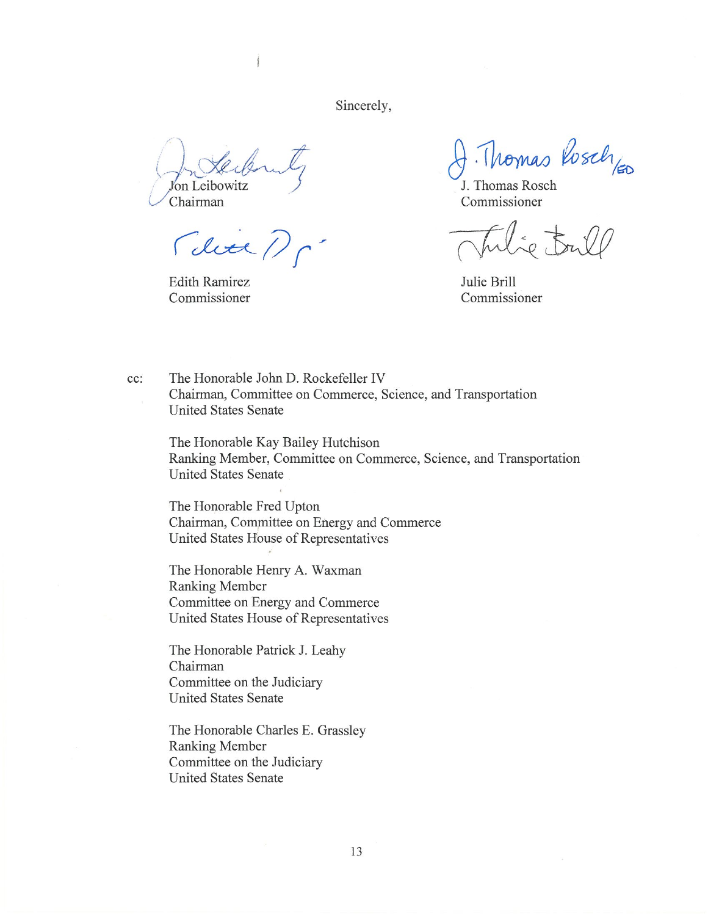Sincerely,

J'on Leibowitz

Chairman

Mein,

**Edith Ramirez** Commissioner

Thomas Rosch<sub>leo</sub>

J. Thomas Rosch Commissioner

 $50.54$ 

Julie Brill Commissioner

The Honorable John D. Rockefeller IV cc: Chairman, Committee on Commerce, Science, and Transportation **United States Senate** 

The Honorable Kay Bailey Hutchison Ranking Member, Committee on Commerce, Science, and Transportation **United States Senate** 

The Honorable Fred Upton Chairman, Committee on Energy and Commerce United States House of Representatives

The Honorable Henry A. Waxman Ranking Member Committee on Energy and Commerce United States House of Representatives

The Honorable Patrick J. Leahy Chairman Committee on the Judiciary **United States Senate** 

The Honorable Charles E. Grassley **Ranking Member** Committee on the Judiciary **United States Senate**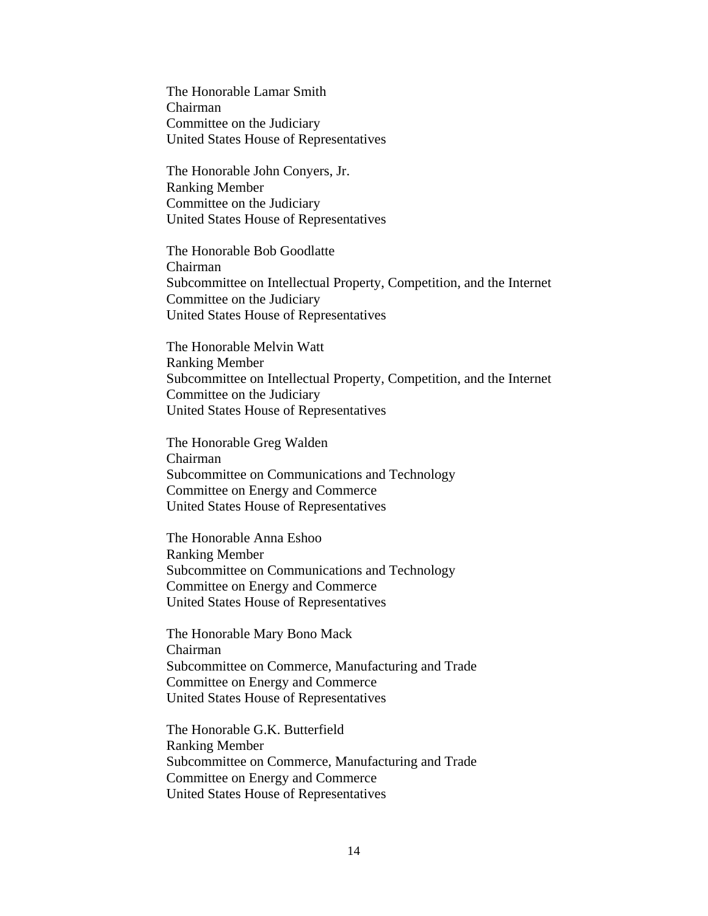The Honorable Lamar Smith Chairman Committee on the Judiciary United States House of Representatives

The Honorable John Conyers, Jr. Ranking Member Committee on the Judiciary United States House of Representatives

The Honorable Bob Goodlatte Chairman Subcommittee on Intellectual Property, Competition, and the Internet Committee on the Judiciary United States House of Representatives

The Honorable Melvin Watt Ranking Member Subcommittee on Intellectual Property, Competition, and the Internet Committee on the Judiciary United States House of Representatives

The Honorable Greg Walden Chairman Subcommittee on Communications and Technology Committee on Energy and Commerce United States House of Representatives

The Honorable Anna Eshoo Ranking Member Subcommittee on Communications and Technology Committee on Energy and Commerce United States House of Representatives

The Honorable Mary Bono Mack Chairman Subcommittee on Commerce, Manufacturing and Trade Committee on Energy and Commerce United States House of Representatives

The Honorable G.K. Butterfield Ranking Member Subcommittee on Commerce, Manufacturing and Trade Committee on Energy and Commerce United States House of Representatives